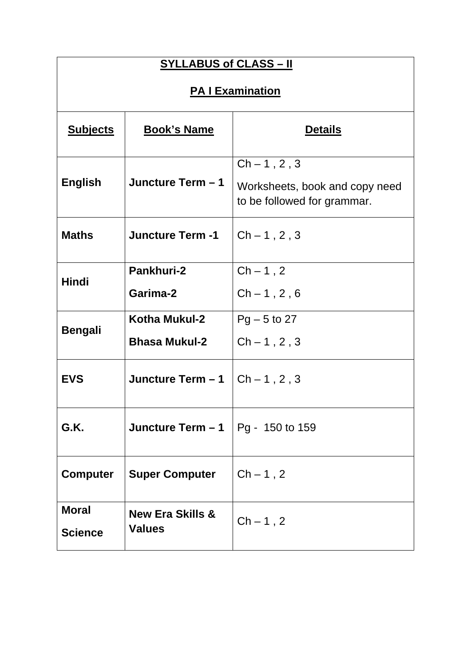| <b>SYLLABUS of CLASS - II</b>  |                                              |                                                                                 |  |
|--------------------------------|----------------------------------------------|---------------------------------------------------------------------------------|--|
| <b>PA I Examination</b>        |                                              |                                                                                 |  |
| <b>Subjects</b>                | <b>Book's Name</b>                           | <b>Details</b>                                                                  |  |
| <b>English</b>                 | Juncture Term - 1                            | $Ch - 1, 2, 3$<br>Worksheets, book and copy need<br>to be followed for grammar. |  |
| <b>Maths</b>                   | <b>Juncture Term -1</b>                      | $Ch - 1, 2, 3$                                                                  |  |
| <b>Hindi</b>                   | Pankhuri-2<br>Garima-2                       | $Ch-1, 2$<br>$Ch - 1, 2, 6$                                                     |  |
| <b>Bengali</b>                 | Kotha Mukul-2<br><b>Bhasa Mukul-2</b>        | $Pg - 5$ to 27<br>$Ch - 1, 2, 3$                                                |  |
| <b>EVS</b>                     | Juncture Term - 1                            | $Ch - 1, 2, 3$                                                                  |  |
| G.K.                           | Juncture Term - 1                            | Pg - 150 to 159                                                                 |  |
| <b>Computer</b>                | <b>Super Computer</b>                        | $Ch-1, 2$                                                                       |  |
| <b>Moral</b><br><b>Science</b> | <b>New Era Skills &amp;</b><br><b>Values</b> | $Ch-1, 2$                                                                       |  |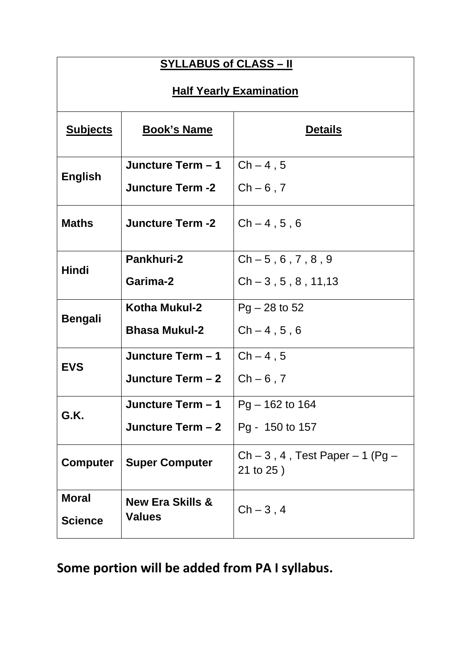| <b>SYLLABUS of CLASS – II</b>                         |                                              |                                      |  |
|-------------------------------------------------------|----------------------------------------------|--------------------------------------|--|
| <b>Half Yearly Examination</b>                        |                                              |                                      |  |
| <b>Subjects</b>                                       | <b>Book's Name</b><br><b>Details</b>         |                                      |  |
| <b>English</b>                                        | Juncture Term - 1<br><b>Juncture Term -2</b> | $Ch-4.5$<br>$Ch - 6, 7$              |  |
| <b>Maths</b>                                          | <b>Juncture Term -2</b>                      | $Ch - 4, 5, 6$                       |  |
|                                                       | <b>Pankhuri-2</b>                            | $Ch - 5, 6, 7, 8, 9$                 |  |
| <b>Hindi</b>                                          | Garima-2                                     | $Ch-3, 5, 8, 11, 13$                 |  |
|                                                       | Kotha Mukul-2                                | $Pg - 28$ to 52                      |  |
| <b>Bengali</b>                                        | <b>Bhasa Mukul-2</b>                         | $Ch - 4, 5, 6$                       |  |
|                                                       | Juncture Term - 1                            | $Ch-4, 5$                            |  |
| <b>EVS</b>                                            | Juncture Term - 2                            | $Ch - 6$ , 7                         |  |
|                                                       | Juncture Term - 1                            | Pg - 162 to 164                      |  |
| G.K.                                                  | Juncture Term - 2                            | Pg - 150 to 157                      |  |
| <b>Super Computer</b><br><b>Computer</b><br>21 to 25) |                                              | Ch $-3$ , 4, Test Paper $-1$ (Pg $-$ |  |
| <b>Moral</b><br><b>Science</b>                        | <b>New Era Skills &amp;</b><br><b>Values</b> | $Ch-3, 4$                            |  |

**Some portion will be added from PA I syllabus.**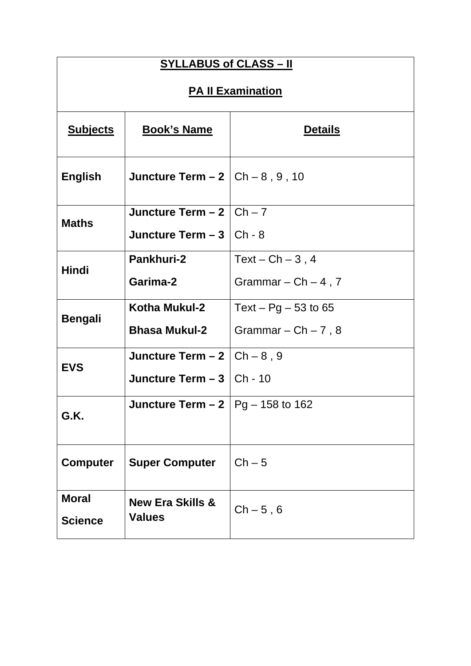| <b>SYLLABUS of CLASS - II</b>                      |                                              |                         |  |
|----------------------------------------------------|----------------------------------------------|-------------------------|--|
| <b>PA II Examination</b>                           |                                              |                         |  |
| <b>Subjects</b>                                    | <b>Book's Name</b>                           | <b>Details</b>          |  |
| <b>English</b>                                     | Juncture Term $-2$ $ Ch-8, 9, 10$            |                         |  |
|                                                    | Juncture Term $-2$ $ $ Ch $-7$               |                         |  |
| <b>Maths</b>                                       | Juncture Term $-3$   Ch - 8                  |                         |  |
|                                                    | Pankhuri-2                                   | Text – $Ch - 3$ , 4     |  |
| <b>Hindi</b>                                       | Garima-2                                     | Grammar $-$ Ch $-$ 4, 7 |  |
|                                                    | Kotha Mukul-2                                | Text – $Pg - 53$ to 65  |  |
| <b>Bengali</b>                                     | <b>Bhasa Mukul-2</b>                         | Grammar – $Ch - 7$ , 8  |  |
| <b>EVS</b>                                         | Juncture Term $-2$ $ Ch - 8$ , 9             |                         |  |
|                                                    | Juncture Term $-3$ $ $ Ch - 10               |                         |  |
| <b>Juncture Term – 2</b>   Pg – 158 to 162<br>G.K. |                                              |                         |  |
| <b>Computer</b><br><b>Super Computer</b>           |                                              | $Ch - 5$                |  |
| <b>Moral</b><br><b>Science</b>                     | <b>New Era Skills &amp;</b><br><b>Values</b> | $Ch - 5, 6$             |  |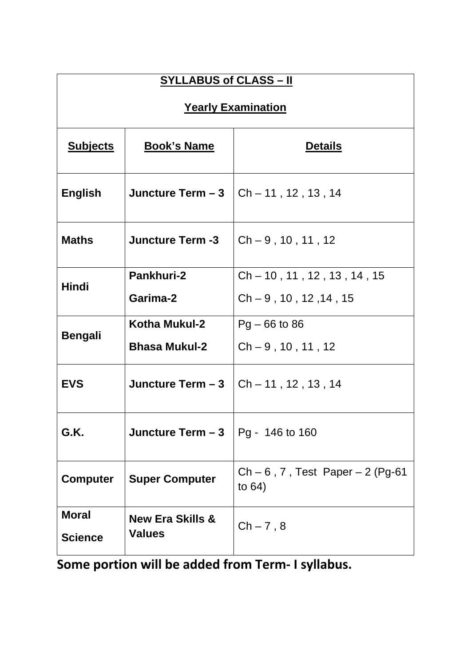| <b>SYLLABUS of CLASS - II</b>  |                                              |                                                    |  |
|--------------------------------|----------------------------------------------|----------------------------------------------------|--|
| <b>Yearly Examination</b>      |                                              |                                                    |  |
| <b>Subjects</b>                | <b>Book's Name</b>                           | <b>Details</b>                                     |  |
| English                        | Juncture Term - 3                            | $Ch - 11$ , 12, 13, 14                             |  |
| <b>Maths</b>                   | <b>Juncture Term -3</b>                      | $Ch - 9, 10, 11, 12$                               |  |
|                                | Pankhuri-2                                   | $Ch - 10$ , 11, 12, 13, 14, 15                     |  |
| Hindi                          | Garima-2                                     | $Ch - 9$ , 10, 12, 14, 15                          |  |
| <b>Bengali</b>                 | Kotha Mukul-2                                | $Pg - 66$ to 86                                    |  |
|                                | <b>Bhasa Mukul-2</b>                         | $Ch - 9, 10, 11, 12$                               |  |
| <b>EVS</b>                     | Juncture Term - 3                            | $Ch - 11$ , 12, 13, 14                             |  |
| G.K.                           | Juncture Term - 3                            | Pg - 146 to 160                                    |  |
| <b>Computer</b>                | <b>Super Computer</b>                        | $Ch - 6$ , 7, Test Paper $- 2$ (Pg-61)<br>to $64)$ |  |
| <b>Moral</b><br><b>Science</b> | <b>New Era Skills &amp;</b><br><b>Values</b> | $Ch - 7, 8$                                        |  |

**Some portion will be added from Term- I syllabus.**